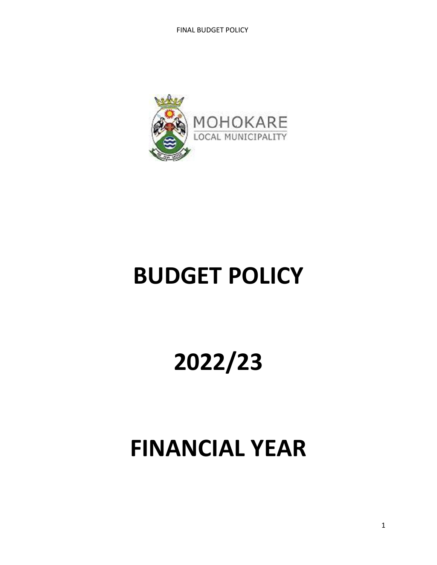

# **BUDGET POLICY**

# **2022/23**

# **FINANCIAL YEAR**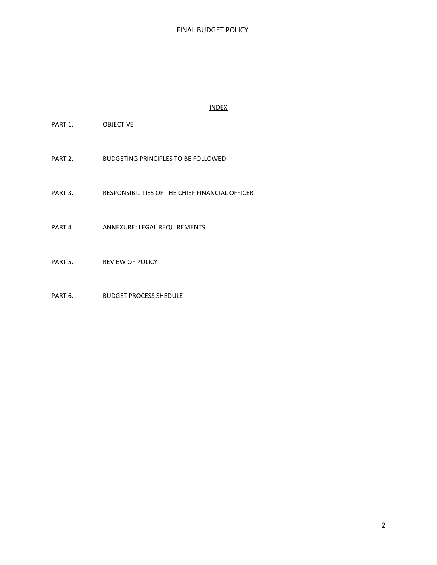#### INDEX

PART 1. OBJECTIVE

PART 2. BUDGETING PRINCIPLES TO BE FOLLOWED

PART 3. RESPONSIBILITIES OF THE CHIEF FINANCIAL OFFICER

PART 4. ANNEXURE: LEGAL REQUIREMENTS

PART 5. REVIEW OF POLICY

PART 6. BUDGET PROCESS SHEDULE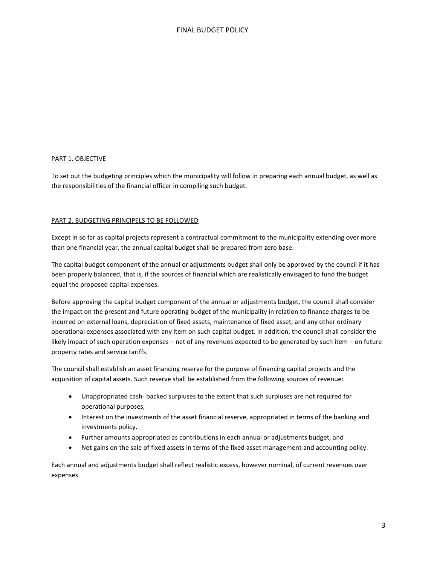#### PART 1. OBJECTIVE

To set out the budgeting principles which the municipality will follow in preparing each annual budget, as well as the responsibilities of the financial officer in compiling such budget.

#### PART 2. BUDGETING PRINCIPELS TO BE FOLLOWED

Except in so far as capital projects represent a contractual commitment to the municipality extending over more than one financial year, the annual capital budget shall be prepared from zero base.

The capital budget component of the annual or adjustments budget shall only be approved by the council if it has been properly balanced, that is, if the sources of financial which are realistically envisaged to fund the budget equal the proposed capital expenses.

Before approving the capital budget component of the annual or adjustments budget, the council shall consider the impact on the present and future operating budget of the municipality in relation to finance charges to be incurred on external loans, depreciation of fixed assets, maintenance of fixed asset, and any other ordinary operational expenses associated with any item on such capital budget. In addition, the council shall consider the likely impact of such operation expenses – net of any revenues expected to be generated by such item – on future property rates and service tariffs.

The council shall establish an asset financing reserve for the purpose of financing capital projects and the acquisition of capital assets. Such reserve shall be established from the following sources of revenue:

- Unappropriated cash- backed surpluses to the extent that such surpluses are not required for operational purposes,
- Interest on the investments of the asset financial reserve, appropriated in terms of the banking and investments policy,
- Further amounts appropriated as contributions in each annual or adjustments budget, and
- Net gains on the sale of fixed assets in terms of the fixed asset management and accounting policy.

Each annual and adjustments budget shall reflect realistic excess, however nominal, of current revenues over expenses.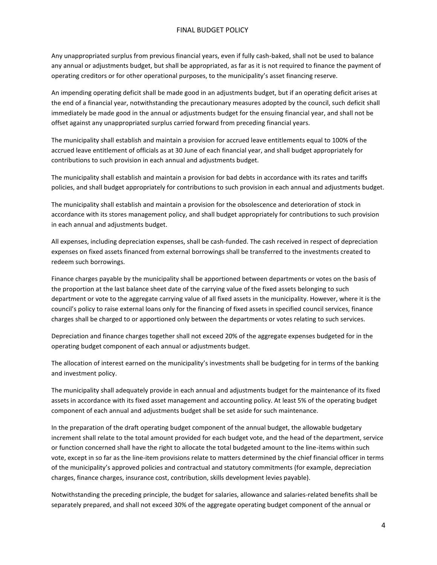Any unappropriated surplus from previous financial years, even if fully cash-baked, shall not be used to balance any annual or adjustments budget, but shall be appropriated, as far as it is not required to finance the payment of operating creditors or for other operational purposes, to the municipality's asset financing reserve.

An impending operating deficit shall be made good in an adjustments budget, but if an operating deficit arises at the end of a financial year, notwithstanding the precautionary measures adopted by the council, such deficit shall immediately be made good in the annual or adjustments budget for the ensuing financial year, and shall not be offset against any unappropriated surplus carried forward from preceding financial years.

The municipality shall establish and maintain a provision for accrued leave entitlements equal to 100% of the accrued leave entitlement of officials as at 30 June of each financial year, and shall budget appropriately for contributions to such provision in each annual and adjustments budget.

The municipality shall establish and maintain a provision for bad debts in accordance with its rates and tariffs policies, and shall budget appropriately for contributions to such provision in each annual and adjustments budget.

The municipality shall establish and maintain a provision for the obsolescence and deterioration of stock in accordance with its stores management policy, and shall budget appropriately for contributions to such provision in each annual and adjustments budget.

All expenses, including depreciation expenses, shall be cash-funded. The cash received in respect of depreciation expenses on fixed assets financed from external borrowings shall be transferred to the investments created to redeem such borrowings.

Finance charges payable by the municipality shall be apportioned between departments or votes on the basis of the proportion at the last balance sheet date of the carrying value of the fixed assets belonging to such department or vote to the aggregate carrying value of all fixed assets in the municipality. However, where it is the council's policy to raise external loans only for the financing of fixed assets in specified council services, finance charges shall be charged to or apportioned only between the departments or votes relating to such services.

Depreciation and finance charges together shall not exceed 20% of the aggregate expenses budgeted for in the operating budget component of each annual or adjustments budget.

The allocation of interest earned on the municipality's investments shall be budgeting for in terms of the banking and investment policy.

The municipality shall adequately provide in each annual and adjustments budget for the maintenance of its fixed assets in accordance with its fixed asset management and accounting policy. At least 5% of the operating budget component of each annual and adjustments budget shall be set aside for such maintenance.

In the preparation of the draft operating budget component of the annual budget, the allowable budgetary increment shall relate to the total amount provided for each budget vote, and the head of the department, service or function concerned shall have the right to allocate the total budgeted amount to the line-items within such vote, except in so far as the line-item provisions relate to matters determined by the chief financial officer in terms of the municipality's approved policies and contractual and statutory commitments (for example, depreciation charges, finance charges, insurance cost, contribution, skills development levies payable).

Notwithstanding the preceding principle, the budget for salaries, allowance and salaries-related benefits shall be separately prepared, and shall not exceed 30% of the aggregate operating budget component of the annual or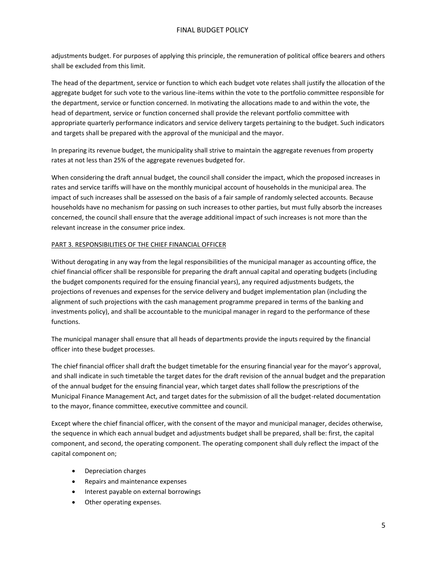adjustments budget. For purposes of applying this principle, the remuneration of political office bearers and others shall be excluded from this limit.

The head of the department, service or function to which each budget vote relates shall justify the allocation of the aggregate budget for such vote to the various line-items within the vote to the portfolio committee responsible for the department, service or function concerned. In motivating the allocations made to and within the vote, the head of department, service or function concerned shall provide the relevant portfolio committee with appropriate quarterly performance indicators and service delivery targets pertaining to the budget. Such indicators and targets shall be prepared with the approval of the municipal and the mayor.

In preparing its revenue budget, the municipality shall strive to maintain the aggregate revenues from property rates at not less than 25% of the aggregate revenues budgeted for.

When considering the draft annual budget, the council shall consider the impact, which the proposed increases in rates and service tariffs will have on the monthly municipal account of households in the municipal area. The impact of such increases shall be assessed on the basis of a fair sample of randomly selected accounts. Because households have no mechanism for passing on such increases to other parties, but must fully absorb the increases concerned, the council shall ensure that the average additional impact of such increases is not more than the relevant increase in the consumer price index.

#### PART 3. RESPONSIBILITIES OF THE CHIEF FINANCIAL OFFICER

Without derogating in any way from the legal responsibilities of the municipal manager as accounting office, the chief financial officer shall be responsible for preparing the draft annual capital and operating budgets (including the budget components required for the ensuing financial years), any required adjustments budgets, the projections of revenues and expenses for the service delivery and budget implementation plan (including the alignment of such projections with the cash management programme prepared in terms of the banking and investments policy), and shall be accountable to the municipal manager in regard to the performance of these functions.

The municipal manager shall ensure that all heads of departments provide the inputs required by the financial officer into these budget processes.

The chief financial officer shall draft the budget timetable for the ensuring financial year for the mayor's approval, and shall indicate in such timetable the target dates for the draft revision of the annual budget and the preparation of the annual budget for the ensuing financial year, which target dates shall follow the prescriptions of the Municipal Finance Management Act, and target dates for the submission of all the budget-related documentation to the mayor, finance committee, executive committee and council.

Except where the chief financial officer, with the consent of the mayor and municipal manager, decides otherwise, the sequence in which each annual budget and adjustments budget shall be prepared, shall be: first, the capital component, and second, the operating component. The operating component shall duly reflect the impact of the capital component on;

- Depreciation charges
- Repairs and maintenance expenses
- Interest payable on external borrowings
- Other operating expenses.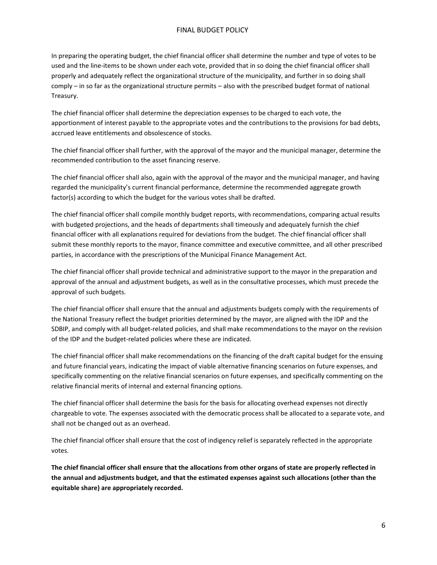In preparing the operating budget, the chief financial officer shall determine the number and type of votes to be used and the line-items to be shown under each vote, provided that in so doing the chief financial officer shall properly and adequately reflect the organizational structure of the municipality, and further in so doing shall comply – in so far as the organizational structure permits – also with the prescribed budget format of national Treasury.

The chief financial officer shall determine the depreciation expenses to be charged to each vote, the apportionment of interest payable to the appropriate votes and the contributions to the provisions for bad debts, accrued leave entitlements and obsolescence of stocks.

The chief financial officer shall further, with the approval of the mayor and the municipal manager, determine the recommended contribution to the asset financing reserve.

The chief financial officer shall also, again with the approval of the mayor and the municipal manager, and having regarded the municipality's current financial performance, determine the recommended aggregate growth factor(s) according to which the budget for the various votes shall be drafted.

The chief financial officer shall compile monthly budget reports, with recommendations, comparing actual results with budgeted projections, and the heads of departments shall timeously and adequately furnish the chief financial officer with all explanations required for deviations from the budget. The chief financial officer shall submit these monthly reports to the mayor, finance committee and executive committee, and all other prescribed parties, in accordance with the prescriptions of the Municipal Finance Management Act.

The chief financial officer shall provide technical and administrative support to the mayor in the preparation and approval of the annual and adjustment budgets, as well as in the consultative processes, which must precede the approval of such budgets.

The chief financial officer shall ensure that the annual and adjustments budgets comply with the requirements of the National Treasury reflect the budget priorities determined by the mayor, are aligned with the IDP and the SDBIP, and comply with all budget-related policies, and shall make recommendations to the mayor on the revision of the IDP and the budget-related policies where these are indicated.

The chief financial officer shall make recommendations on the financing of the draft capital budget for the ensuing and future financial years, indicating the impact of viable alternative financing scenarios on future expenses, and specifically commenting on the relative financial scenarios on future expenses, and specifically commenting on the relative financial merits of internal and external financing options.

The chief financial officer shall determine the basis for the basis for allocating overhead expenses not directly chargeable to vote. The expenses associated with the democratic process shall be allocated to a separate vote, and shall not be changed out as an overhead.

The chief financial officer shall ensure that the cost of indigency relief is separately reflected in the appropriate votes.

**The chief financial officer shall ensure that the allocations from other organs of state are properly reflected in the annual and adjustments budget, and that the estimated expenses against such allocations (other than the equitable share) are appropriately recorded.**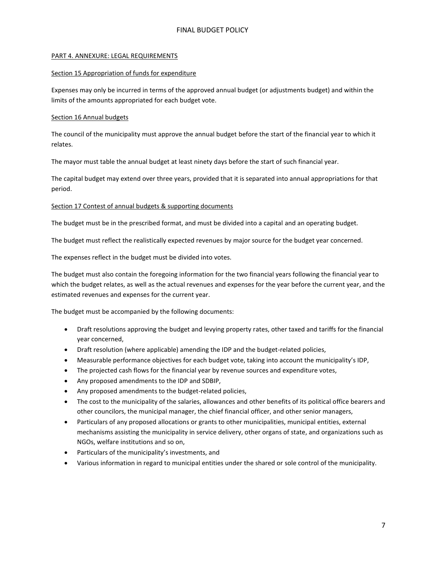#### PART 4. ANNEXURE: LEGAL REQUIREMENTS

#### Section 15 Appropriation of funds for expenditure

Expenses may only be incurred in terms of the approved annual budget (or adjustments budget) and within the limits of the amounts appropriated for each budget vote.

#### Section 16 Annual budgets

The council of the municipality must approve the annual budget before the start of the financial year to which it relates.

The mayor must table the annual budget at least ninety days before the start of such financial year.

The capital budget may extend over three years, provided that it is separated into annual appropriations for that period.

#### Section 17 Contest of annual budgets & supporting documents

The budget must be in the prescribed format, and must be divided into a capital and an operating budget.

The budget must reflect the realistically expected revenues by major source for the budget year concerned.

The expenses reflect in the budget must be divided into votes.

The budget must also contain the foregoing information for the two financial years following the financial year to which the budget relates, as well as the actual revenues and expenses for the year before the current year, and the estimated revenues and expenses for the current year.

The budget must be accompanied by the following documents:

- Draft resolutions approving the budget and levying property rates, other taxed and tariffs for the financial year concerned,
- Draft resolution (where applicable) amending the IDP and the budget-related policies,
- Measurable performance objectives for each budget vote, taking into account the municipality's IDP,
- The projected cash flows for the financial year by revenue sources and expenditure votes,
- Any proposed amendments to the IDP and SDBIP,
- Any proposed amendments to the budget-related policies,
- The cost to the municipality of the salaries, allowances and other benefits of its political office bearers and other councilors, the municipal manager, the chief financial officer, and other senior managers,
- Particulars of any proposed allocations or grants to other municipalities, municipal entities, external mechanisms assisting the municipality in service delivery, other organs of state, and organizations such as NGOs, welfare institutions and so on,
- Particulars of the municipality's investments, and
- Various information in regard to municipal entities under the shared or sole control of the municipality.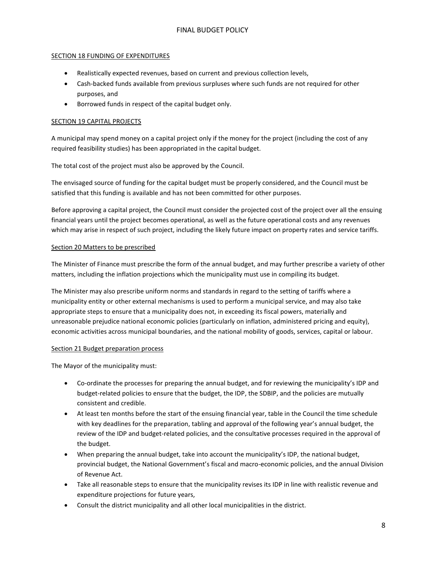#### SECTION 18 FUNDING OF EXPENDITURES

- Realistically expected revenues, based on current and previous collection levels,
- Cash-backed funds available from previous surpluses where such funds are not required for other purposes, and
- Borrowed funds in respect of the capital budget only.

#### **SECTION 19 CAPITAL PROJECTS**

A municipal may spend money on a capital project only if the money for the project (including the cost of any required feasibility studies) has been appropriated in the capital budget.

The total cost of the project must also be approved by the Council.

The envisaged source of funding for the capital budget must be properly considered, and the Council must be satisfied that this funding is available and has not been committed for other purposes.

Before approving a capital project, the Council must consider the projected cost of the project over all the ensuing financial years until the project becomes operational, as well as the future operational costs and any revenues which may arise in respect of such project, including the likely future impact on property rates and service tariffs.

#### Section 20 Matters to be prescribed

The Minister of Finance must prescribe the form of the annual budget, and may further prescribe a variety of other matters, including the inflation projections which the municipality must use in compiling its budget.

The Minister may also prescribe uniform norms and standards in regard to the setting of tariffs where a municipality entity or other external mechanisms is used to perform a municipal service, and may also take appropriate steps to ensure that a municipality does not, in exceeding its fiscal powers, materially and unreasonable prejudice national economic policies (particularly on inflation, administered pricing and equity), economic activities across municipal boundaries, and the national mobility of goods, services, capital or labour.

#### Section 21 Budget preparation process

The Mayor of the municipality must:

- Co-ordinate the processes for preparing the annual budget, and for reviewing the municipality's IDP and budget-related policies to ensure that the budget, the IDP, the SDBIP, and the policies are mutually consistent and credible.
- At least ten months before the start of the ensuing financial year, table in the Council the time schedule with key deadlines for the preparation, tabling and approval of the following year's annual budget, the review of the IDP and budget-related policies, and the consultative processes required in the approval of the budget.
- When preparing the annual budget, take into account the municipality's IDP, the national budget, provincial budget, the National Government's fiscal and macro-economic policies, and the annual Division of Revenue Act.
- Take all reasonable steps to ensure that the municipality revises its IDP in line with realistic revenue and expenditure projections for future years,
- Consult the district municipality and all other local municipalities in the district.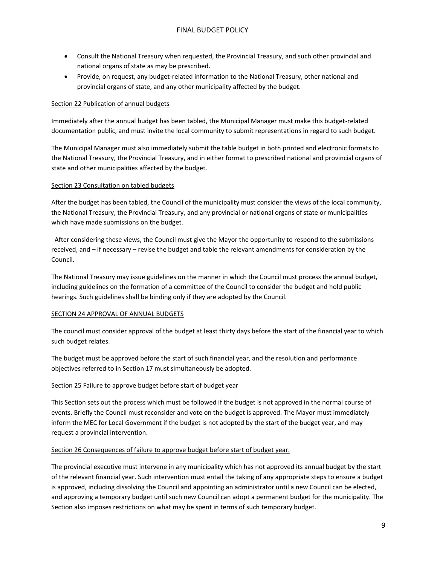- Consult the National Treasury when requested, the Provincial Treasury, and such other provincial and national organs of state as may be prescribed.
- Provide, on request, any budget-related information to the National Treasury, other national and provincial organs of state, and any other municipality affected by the budget.

#### Section 22 Publication of annual budgets

Immediately after the annual budget has been tabled, the Municipal Manager must make this budget-related documentation public, and must invite the local community to submit representations in regard to such budget.

The Municipal Manager must also immediately submit the table budget in both printed and electronic formats to the National Treasury, the Provincial Treasury, and in either format to prescribed national and provincial organs of state and other municipalities affected by the budget.

#### Section 23 Consultation on tabled budgets

After the budget has been tabled, the Council of the municipality must consider the views of the local community, the National Treasury, the Provincial Treasury, and any provincial or national organs of state or municipalities which have made submissions on the budget.

 After considering these views, the Council must give the Mayor the opportunity to respond to the submissions received, and – if necessary – revise the budget and table the relevant amendments for consideration by the Council.

The National Treasury may issue guidelines on the manner in which the Council must process the annual budget, including guidelines on the formation of a committee of the Council to consider the budget and hold public hearings. Such guidelines shall be binding only if they are adopted by the Council.

#### SECTION 24 APPROVAL OF ANNUAL BUDGETS

The council must consider approval of the budget at least thirty days before the start of the financial year to which such budget relates.

The budget must be approved before the start of such financial year, and the resolution and performance objectives referred to in Section 17 must simultaneously be adopted.

#### Section 25 Failure to approve budget before start of budget year

This Section sets out the process which must be followed if the budget is not approved in the normal course of events. Briefly the Council must reconsider and vote on the budget is approved. The Mayor must immediately inform the MEC for Local Government if the budget is not adopted by the start of the budget year, and may request a provincial intervention.

#### Section 26 Consequences of failure to approve budget before start of budget year.

The provincial executive must intervene in any municipality which has not approved its annual budget by the start of the relevant financial year. Such intervention must entail the taking of any appropriate steps to ensure a budget is approved, including dissolving the Council and appointing an administrator until a new Council can be elected, and approving a temporary budget until such new Council can adopt a permanent budget for the municipality. The Section also imposes restrictions on what may be spent in terms of such temporary budget.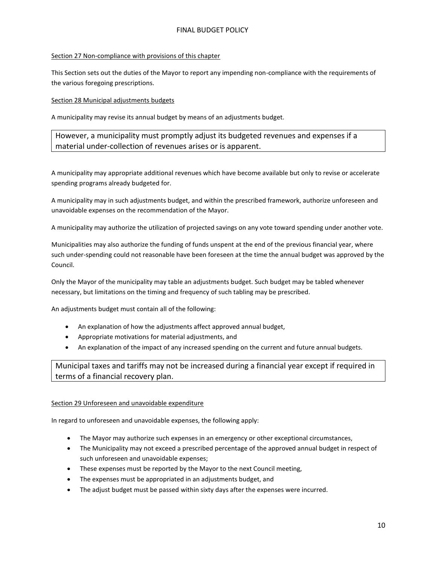#### Section 27 Non-compliance with provisions of this chapter

This Section sets out the duties of the Mayor to report any impending non-compliance with the requirements of the various foregoing prescriptions.

#### Section 28 Municipal adjustments budgets

A municipality may revise its annual budget by means of an adjustments budget.

However, a municipality must promptly adjust its budgeted revenues and expenses if a material under-collection of revenues arises or is apparent.

A municipality may appropriate additional revenues which have become available but only to revise or accelerate spending programs already budgeted for.

A municipality may in such adjustments budget, and within the prescribed framework, authorize unforeseen and unavoidable expenses on the recommendation of the Mayor.

A municipality may authorize the utilization of projected savings on any vote toward spending under another vote.

Municipalities may also authorize the funding of funds unspent at the end of the previous financial year, where such under-spending could not reasonable have been foreseen at the time the annual budget was approved by the Council.

Only the Mayor of the municipality may table an adjustments budget. Such budget may be tabled whenever necessary, but limitations on the timing and frequency of such tabling may be prescribed.

An adjustments budget must contain all of the following:

- An explanation of how the adjustments affect approved annual budget,
- Appropriate motivations for material adjustments, and
- An explanation of the impact of any increased spending on the current and future annual budgets.

Municipal taxes and tariffs may not be increased during a financial year except if required in terms of a financial recovery plan.

#### Section 29 Unforeseen and unavoidable expenditure

In regard to unforeseen and unavoidable expenses, the following apply:

- The Mayor may authorize such expenses in an emergency or other exceptional circumstances,
- The Municipality may not exceed a prescribed percentage of the approved annual budget in respect of such unforeseen and unavoidable expenses;
- These expenses must be reported by the Mayor to the next Council meeting,
- The expenses must be appropriated in an adjustments budget, and
- The adjust budget must be passed within sixty days after the expenses were incurred.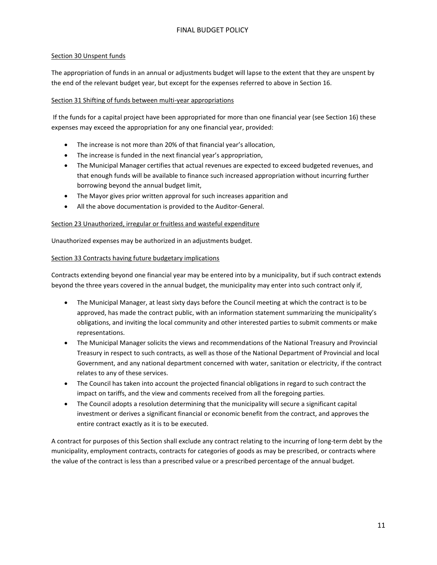### Section 30 Unspent funds

The appropriation of funds in an annual or adjustments budget will lapse to the extent that they are unspent by the end of the relevant budget year, but except for the expenses referred to above in Section 16.

#### Section 31 Shifting of funds between multi-year appropriations

If the funds for a capital project have been appropriated for more than one financial year (see Section 16) these expenses may exceed the appropriation for any one financial year, provided:

- The increase is not more than 20% of that financial year's allocation,
- The increase is funded in the next financial year's appropriation,
- The Municipal Manager certifies that actual revenues are expected to exceed budgeted revenues, and that enough funds will be available to finance such increased appropriation without incurring further borrowing beyond the annual budget limit,
- The Mayor gives prior written approval for such increases apparition and
- All the above documentation is provided to the Auditor-General.

#### Section 23 Unauthorized, irregular or fruitless and wasteful expenditure

Unauthorized expenses may be authorized in an adjustments budget.

#### Section 33 Contracts having future budgetary implications

Contracts extending beyond one financial year may be entered into by a municipality, but if such contract extends beyond the three years covered in the annual budget, the municipality may enter into such contract only if,

- The Municipal Manager, at least sixty days before the Council meeting at which the contract is to be approved, has made the contract public, with an information statement summarizing the municipality's obligations, and inviting the local community and other interested parties to submit comments or make representations.
- The Municipal Manager solicits the views and recommendations of the National Treasury and Provincial Treasury in respect to such contracts, as well as those of the National Department of Provincial and local Government, and any national department concerned with water, sanitation or electricity, if the contract relates to any of these services.
- The Council has taken into account the projected financial obligations in regard to such contract the impact on tariffs, and the view and comments received from all the foregoing parties.
- The Council adopts a resolution determining that the municipality will secure a significant capital investment or derives a significant financial or economic benefit from the contract, and approves the entire contract exactly as it is to be executed.

A contract for purposes of this Section shall exclude any contract relating to the incurring of long-term debt by the municipality, employment contracts, contracts for categories of goods as may be prescribed, or contracts where the value of the contract is less than a prescribed value or a prescribed percentage of the annual budget.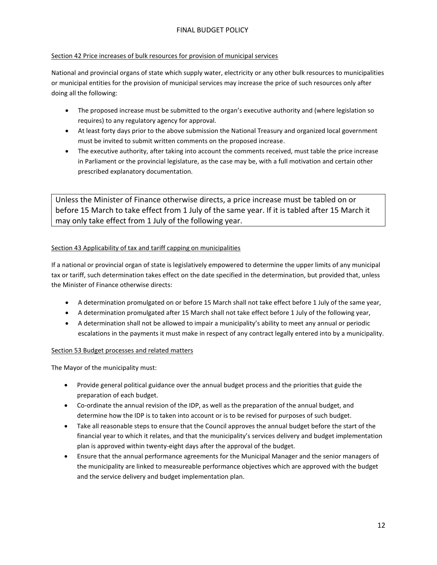#### Section 42 Price increases of bulk resources for provision of municipal services

National and provincial organs of state which supply water, electricity or any other bulk resources to municipalities or municipal entities for the provision of municipal services may increase the price of such resources only after doing all the following:

- The proposed increase must be submitted to the organ's executive authority and (where legislation so requires) to any regulatory agency for approval.
- At least forty days prior to the above submission the National Treasury and organized local government must be invited to submit written comments on the proposed increase.
- The executive authority, after taking into account the comments received, must table the price increase in Parliament or the provincial legislature, as the case may be, with a full motivation and certain other prescribed explanatory documentation.

Unless the Minister of Finance otherwise directs, a price increase must be tabled on or before 15 March to take effect from 1 July of the same year. If it is tabled after 15 March it may only take effect from 1 July of the following year.

#### Section 43 Applicability of tax and tariff capping on municipalities

If a national or provincial organ of state is legislatively empowered to determine the upper limits of any municipal tax or tariff, such determination takes effect on the date specified in the determination, but provided that, unless the Minister of Finance otherwise directs:

- A determination promulgated on or before 15 March shall not take effect before 1 July of the same year,
- A determination promulgated after 15 March shall not take effect before 1 July of the following year,
- A determination shall not be allowed to impair a municipality's ability to meet any annual or periodic escalations in the payments it must make in respect of any contract legally entered into by a municipality.

# Section 53 Budget processes and related matters

The Mayor of the municipality must:

- Provide general political guidance over the annual budget process and the priorities that guide the preparation of each budget.
- Co-ordinate the annual revision of the IDP, as well as the preparation of the annual budget, and determine how the IDP is to taken into account or is to be revised for purposes of such budget.
- Take all reasonable steps to ensure that the Council approves the annual budget before the start of the financial year to which it relates, and that the municipality's services delivery and budget implementation plan is approved within twenty-eight days after the approval of the budget.
- Ensure that the annual performance agreements for the Municipal Manager and the senior managers of the municipality are linked to measureable performance objectives which are approved with the budget and the service delivery and budget implementation plan.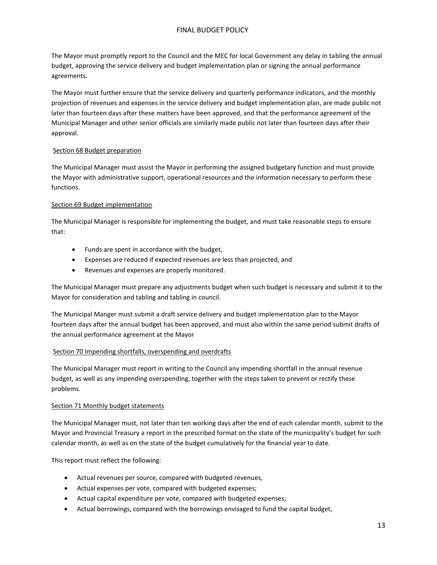The Mayor must promptly report to the Council and the MEC for local Government any delay in tabling the annual budget, approving the service delivery and budget implementation plan or signing the annual performance agreements.

The Mayor must further ensure that the service delivery and quarterly performance indicators, and the monthly projection of revenues and expenses in the service delivery and budget implementation plan, are made public not later than fourteen days after these matters have been approved, and that the performance agreement of the Municipal Manager and other senior officials are similarly made public not later than fourteen days after their approval.

#### Section 68 Budget preparation

The Municipal Manager must assist the Mayor in performing the assigned budgetary function and must provide the Mayor with administrative support, operational resources and the information necessary to perform these functions.

#### Section 69 Budget implementation

The Municipal Manager is responsible for implementing the budget, and must take reasonable steps to ensure that:

- Funds are spent in accordance with the budget,
- Expenses are reduced if expected revenues are less than projected, and
- Revenues and expenses are properly monitored.

The Municipal Manager must prepare any adjustments budget when such budget is necessary and submit it to the Mayor for consideration and tabling and tabling in council.

The Municipal Manger must submit a draft service delivery and budget implementation plan to the Mayor fourteen days after the annual budget has been approved, and must also within the same period submit drafts of the annual performance agreement at the Mayor

#### Section 70 Impending shortfalls, overspending and overdrafts

The Municipal Manager must report in writing to the Council any impending shortfall in the annual revenue budget, as well as any impending overspending, together with the steps taken to prevent or rectify these problems.

#### Section 71 Monthly budget statements

The Municipal Manager must, not later than ten working days after the end of each calendar month, submit to the Mayor and Provincial Treasury a report in the prescribed format on the state of the municipality's budget for such calendar month, as well as on the state of the budget cumulatively for the financial year to date.

This report must reflect the following:

- Actual revenues per source, compared with budgeted revenues,
- Actual expenses per vote, compared with budgeted expenses;
- Actual capital expenditure per vote, compared with budgeted expenses;
- Actual borrowings, compared with the borrowings envisaged to fund the capital budget,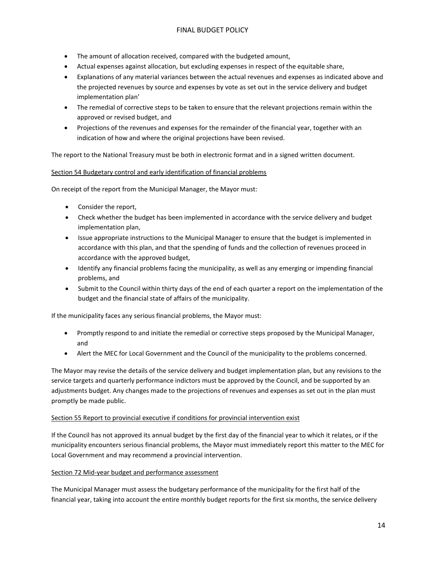- The amount of allocation received, compared with the budgeted amount,
- Actual expenses against allocation, but excluding expenses in respect of the equitable share,
- Explanations of any material variances between the actual revenues and expenses as indicated above and the projected revenues by source and expenses by vote as set out in the service delivery and budget implementation plan'
- The remedial of corrective steps to be taken to ensure that the relevant projections remain within the approved or revised budget, and
- Projections of the revenues and expenses for the remainder of the financial year, together with an indication of how and where the original projections have been revised.

The report to the National Treasury must be both in electronic format and in a signed written document.

#### Section 54 Budgetary control and early identification of financial problems

On receipt of the report from the Municipal Manager, the Mayor must:

- Consider the report,
- Check whether the budget has been implemented in accordance with the service delivery and budget implementation plan,
- Issue appropriate instructions to the Municipal Manager to ensure that the budget is implemented in accordance with this plan, and that the spending of funds and the collection of revenues proceed in accordance with the approved budget,
- Identify any financial problems facing the municipality, as well as any emerging or impending financial problems, and
- Submit to the Council within thirty days of the end of each quarter a report on the implementation of the budget and the financial state of affairs of the municipality.

If the municipality faces any serious financial problems, the Mayor must:

- Promptly respond to and initiate the remedial or corrective steps proposed by the Municipal Manager, and
- Alert the MEC for Local Government and the Council of the municipality to the problems concerned.

The Mayor may revise the details of the service delivery and budget implementation plan, but any revisions to the service targets and quarterly performance indictors must be approved by the Council, and be supported by an adjustments budget. Any changes made to the projections of revenues and expenses as set out in the plan must promptly be made public.

#### Section 55 Report to provincial executive if conditions for provincial intervention exist

If the Council has not approved its annual budget by the first day of the financial year to which it relates, or if the municipality encounters serious financial problems, the Mayor must immediately report this matter to the MEC for Local Government and may recommend a provincial intervention.

#### Section 72 Mid-year budget and performance assessment

The Municipal Manager must assess the budgetary performance of the municipality for the first half of the financial year, taking into account the entire monthly budget reports for the first six months, the service delivery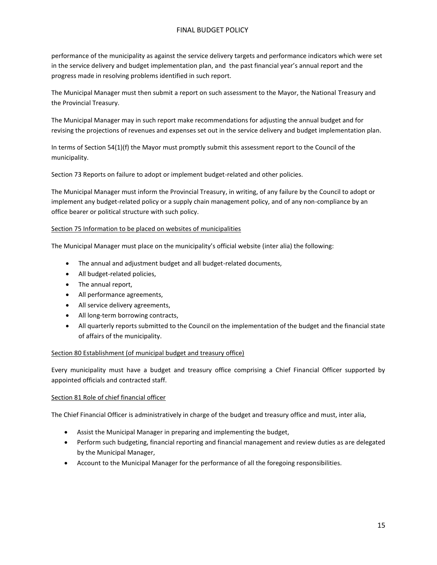performance of the municipality as against the service delivery targets and performance indicators which were set in the service delivery and budget implementation plan, and the past financial year's annual report and the progress made in resolving problems identified in such report.

The Municipal Manager must then submit a report on such assessment to the Mayor, the National Treasury and the Provincial Treasury.

The Municipal Manager may in such report make recommendations for adjusting the annual budget and for revising the projections of revenues and expenses set out in the service delivery and budget implementation plan.

In terms of Section 54(1)(f) the Mayor must promptly submit this assessment report to the Council of the municipality.

Section 73 Reports on failure to adopt or implement budget-related and other policies.

The Municipal Manager must inform the Provincial Treasury, in writing, of any failure by the Council to adopt or implement any budget-related policy or a supply chain management policy, and of any non-compliance by an office bearer or political structure with such policy.

#### Section 75 Information to be placed on websites of municipalities

The Municipal Manager must place on the municipality's official website (inter alia) the following:

- The annual and adjustment budget and all budget-related documents,
- All budget-related policies,
- The annual report,
- All performance agreements,
- All service delivery agreements,
- All long-term borrowing contracts,
- All quarterly reports submitted to the Council on the implementation of the budget and the financial state of affairs of the municipality.

#### Section 80 Establishment (of municipal budget and treasury office)

Every municipality must have a budget and treasury office comprising a Chief Financial Officer supported by appointed officials and contracted staff.

#### Section 81 Role of chief financial officer

The Chief Financial Officer is administratively in charge of the budget and treasury office and must, inter alia,

- Assist the Municipal Manager in preparing and implementing the budget,
- Perform such budgeting, financial reporting and financial management and review duties as are delegated by the Municipal Manager,
- Account to the Municipal Manager for the performance of all the foregoing responsibilities.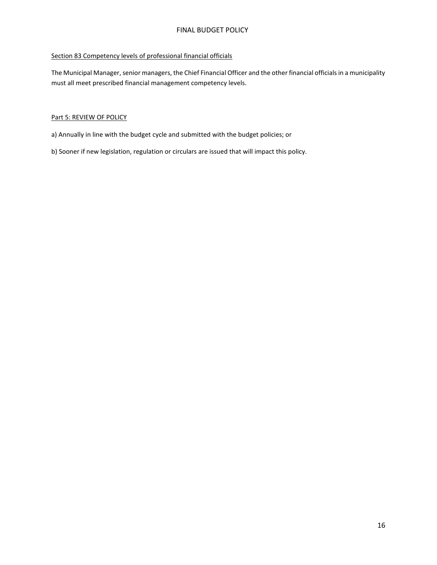#### Section 83 Competency levels of professional financial officials

The Municipal Manager, senior managers, the Chief Financial Officer and the other financial officials in a municipality must all meet prescribed financial management competency levels.

#### Part 5: REVIEW OF POLICY

- a) Annually in line with the budget cycle and submitted with the budget policies; or
- b) Sooner if new legislation, regulation or circulars are issued that will impact this policy.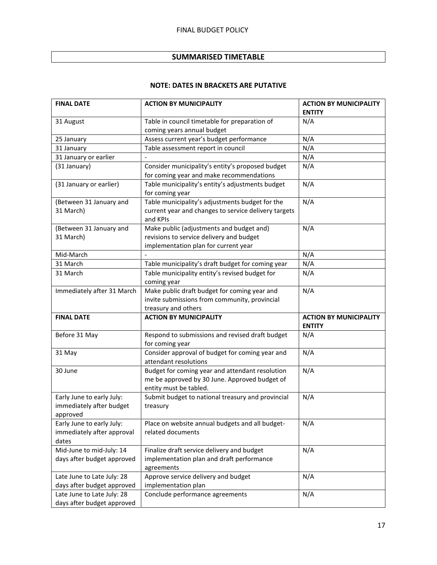# **SUMMARISED TIMETABLE**

# **NOTE: DATES IN BRACKETS ARE PUTATIVE**

| <b>FINAL DATE</b>                                        | <b>ACTION BY MUNICIPALITY</b>                        | <b>ACTION BY MUNICIPALITY</b> |
|----------------------------------------------------------|------------------------------------------------------|-------------------------------|
|                                                          |                                                      | <b>ENTITY</b>                 |
| 31 August                                                | Table in council timetable for preparation of        | N/A                           |
|                                                          | coming years annual budget                           |                               |
| 25 January                                               | Assess current year's budget performance             | N/A                           |
| 31 January                                               | Table assessment report in council                   | N/A                           |
| 31 January or earlier                                    |                                                      | N/A                           |
| (31 January)                                             | Consider municipality's entity's proposed budget     | N/A                           |
|                                                          | for coming year and make recommendations             |                               |
| (31 January or earlier)                                  | Table municipality's entity's adjustments budget     | N/A                           |
|                                                          | for coming year                                      |                               |
| (Between 31 January and                                  | Table municipality's adjustments budget for the      | N/A                           |
| 31 March)                                                | current year and changes to service delivery targets |                               |
|                                                          | and KPIs                                             |                               |
| (Between 31 January and                                  | Make public (adjustments and budget and)             | N/A                           |
| 31 March)                                                | revisions to service delivery and budget             |                               |
|                                                          | implementation plan for current year                 |                               |
| Mid-March                                                |                                                      | N/A                           |
| 31 March                                                 | Table municipality's draft budget for coming year    | N/A                           |
| 31 March                                                 | Table municipality entity's revised budget for       | N/A                           |
|                                                          | coming year                                          |                               |
| Immediately after 31 March                               | Make public draft budget for coming year and         | N/A                           |
|                                                          | invite submissions from community, provincial        |                               |
|                                                          |                                                      |                               |
|                                                          | treasury and others                                  |                               |
| <b>FINAL DATE</b>                                        | <b>ACTION BY MUNICIPALITY</b>                        | <b>ACTION BY MUNICIPALITY</b> |
|                                                          |                                                      | <b>ENTITY</b>                 |
| Before 31 May                                            | Respond to submissions and revised draft budget      | N/A                           |
|                                                          | for coming year                                      |                               |
| 31 May                                                   | Consider approval of budget for coming year and      | N/A                           |
|                                                          | attendant resolutions                                |                               |
| 30 June                                                  | Budget for coming year and attendant resolution      | N/A                           |
|                                                          | me be approved by 30 June. Approved budget of        |                               |
|                                                          | entity must be tabled.                               |                               |
| Early June to early July:<br>immediately after budget    | Submit budget to national treasury and provincial    | N/A                           |
| approved                                                 | treasury                                             |                               |
| Early June to early July:                                | Place on website annual budgets and all budget-      | N/A                           |
| immediately after approval                               | related documents                                    |                               |
| dates                                                    |                                                      |                               |
| Mid-June to mid-July: 14                                 | Finalize draft service delivery and budget           | N/A                           |
| days after budget approved                               | implementation plan and draft performance            |                               |
|                                                          | agreements                                           |                               |
| Late June to Late July: 28                               | Approve service delivery and budget                  | N/A                           |
| days after budget approved                               | implementation plan                                  |                               |
| Late June to Late July: 28<br>days after budget approved | Conclude performance agreements                      | N/A                           |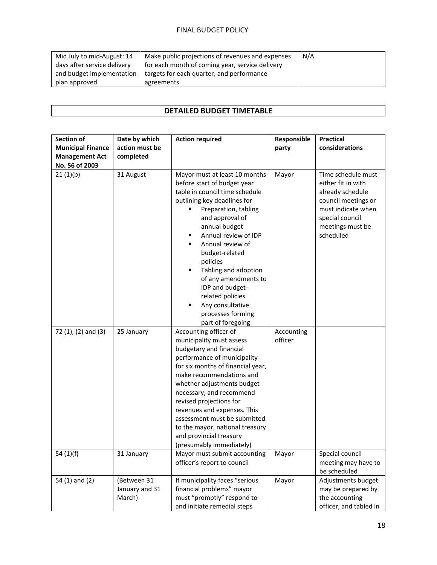| Mid July to mid-August: 14  | Make public projections of revenues and expenses | N/A |
|-----------------------------|--------------------------------------------------|-----|
| days after service delivery | for each month of coming year, service delivery  |     |
| and budget implementation   | targets for each quarter, and performance        |     |
| plan approved               | agreements                                       |     |

# **DETAILED BUDGET TIMETABLE**

| <b>Section of</b><br><b>Municipal Finance</b><br><b>Management Act</b><br>No. 56 of 2003 | Date by which<br>action must be<br>completed | <b>Action required</b>                                                                                                                                                                                                                                                                                                                                                                                                                  | Responsible<br>party  | <b>Practical</b><br>considerations                                                                                                                            |
|------------------------------------------------------------------------------------------|----------------------------------------------|-----------------------------------------------------------------------------------------------------------------------------------------------------------------------------------------------------------------------------------------------------------------------------------------------------------------------------------------------------------------------------------------------------------------------------------------|-----------------------|---------------------------------------------------------------------------------------------------------------------------------------------------------------|
| 21(1)(b)                                                                                 | 31 August                                    | Mayor must at least 10 months<br>before start of budget year<br>table in council time schedule<br>outlining key deadlines for<br>Preparation, tabling<br>and approval of<br>annual budget<br>Annual review of IDP<br>п<br>Annual review of<br>٠<br>budget-related<br>policies<br>Tabling and adoption<br>٠<br>of any amendments to<br>IDP and budget-<br>related policies<br>Any consultative<br>processes forming<br>part of foregoing | Mayor                 | Time schedule must<br>either fit in with<br>already schedule<br>council meetings or<br>must indicate when<br>special council<br>meetings must be<br>scheduled |
| 72 (1), (2) and (3)                                                                      | 25 January                                   | Accounting officer of<br>municipality must assess<br>budgetary and financial<br>performance of municipality<br>for six months of financial year,<br>make recommendations and<br>whether adjustments budget<br>necessary, and recommend<br>revised projections for<br>revenues and expenses. This<br>assessment must be submitted<br>to the mayor, national treasury<br>and provincial treasury<br>(presumably immediately)              | Accounting<br>officer |                                                                                                                                                               |
| 54 $(1)(f)$                                                                              | 31 January                                   | Mayor must submit accounting<br>officer's report to council                                                                                                                                                                                                                                                                                                                                                                             | Mayor                 | Special council<br>meeting may have to<br>be scheduled                                                                                                        |
| 54 (1) and (2)                                                                           | (Between 31<br>January and 31<br>March)      | If municipality faces "serious<br>financial problems" mayor<br>must "promptly" respond to<br>and initiate remedial steps                                                                                                                                                                                                                                                                                                                | Mayor                 | Adjustments budget<br>may be prepared by<br>the accounting<br>officer, and tabled in                                                                          |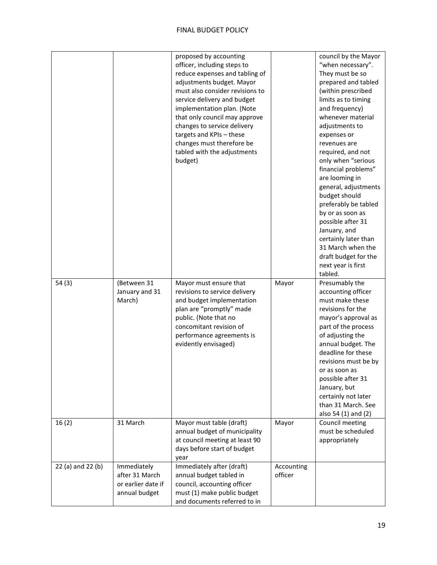|                   |                                                                      | proposed by accounting<br>officer, including steps to<br>reduce expenses and tabling of<br>adjustments budget. Mayor<br>must also consider revisions to<br>service delivery and budget<br>implementation plan. (Note<br>that only council may approve<br>changes to service delivery<br>targets and KPIs - these<br>changes must therefore be<br>tabled with the adjustments<br>budget) |                       | council by the Mayor<br>"when necessary".<br>They must be so<br>prepared and tabled<br>(within prescribed<br>limits as to timing<br>and frequency)<br>whenever material<br>adjustments to<br>expenses or<br>revenues are<br>required, and not<br>only when "serious<br>financial problems"<br>are looming in<br>general, adjustments<br>budget should<br>preferably be tabled<br>by or as soon as<br>possible after 31<br>January, and<br>certainly later than<br>31 March when the<br>draft budget for the<br>next year is first<br>tabled. |
|-------------------|----------------------------------------------------------------------|-----------------------------------------------------------------------------------------------------------------------------------------------------------------------------------------------------------------------------------------------------------------------------------------------------------------------------------------------------------------------------------------|-----------------------|----------------------------------------------------------------------------------------------------------------------------------------------------------------------------------------------------------------------------------------------------------------------------------------------------------------------------------------------------------------------------------------------------------------------------------------------------------------------------------------------------------------------------------------------|
| 54(3)             | (Between 31<br>January and 31<br>March)                              | Mayor must ensure that<br>revisions to service delivery<br>and budget implementation<br>plan are "promptly" made<br>public. (Note that no<br>concomitant revision of<br>performance agreements is<br>evidently envisaged)                                                                                                                                                               | Mayor                 | Presumably the<br>accounting officer<br>must make these<br>revisions for the<br>mayor's approval as<br>part of the process<br>of adjusting the<br>annual budget. The<br>deadline for these<br>revisions must be by<br>or as soon as<br>possible after 31<br>January, but<br>certainly not later<br>than 31 March. See<br>also 54 (1) and (2)                                                                                                                                                                                                 |
| 16(2)             | 31 March                                                             | Mayor must table (draft)<br>annual budget of municipality<br>at council meeting at least 90<br>days before start of budget<br>year                                                                                                                                                                                                                                                      | Mayor                 | Council meeting<br>must be scheduled<br>appropriately                                                                                                                                                                                                                                                                                                                                                                                                                                                                                        |
| 22 (a) and 22 (b) | Immediately<br>after 31 March<br>or earlier date if<br>annual budget | Immediately after (draft)<br>annual budget tabled in<br>council, accounting officer<br>must (1) make public budget<br>and documents referred to in                                                                                                                                                                                                                                      | Accounting<br>officer |                                                                                                                                                                                                                                                                                                                                                                                                                                                                                                                                              |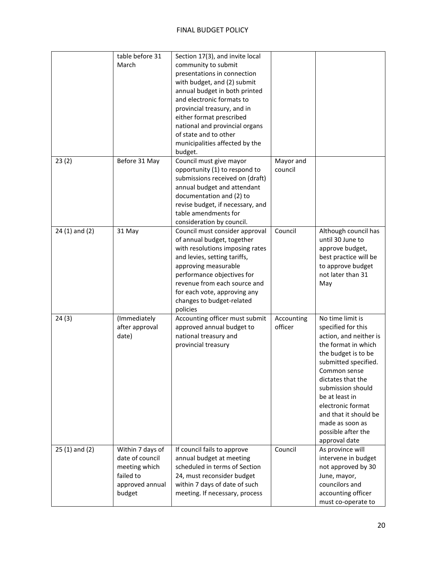|                   | table before 31<br>March                                                                       | Section 17(3), and invite local<br>community to submit<br>presentations in connection<br>with budget, and (2) submit<br>annual budget in both printed<br>and electronic formats to<br>provincial treasury, and in<br>either format prescribed<br>national and provincial organs<br>of state and to other<br>municipalities affected by the<br>budget. |                       |                                                                                                                                                                                                                                                                                                                            |
|-------------------|------------------------------------------------------------------------------------------------|-------------------------------------------------------------------------------------------------------------------------------------------------------------------------------------------------------------------------------------------------------------------------------------------------------------------------------------------------------|-----------------------|----------------------------------------------------------------------------------------------------------------------------------------------------------------------------------------------------------------------------------------------------------------------------------------------------------------------------|
| 23(2)             | Before 31 May                                                                                  | Council must give mayor<br>opportunity (1) to respond to<br>submissions received on (draft)<br>annual budget and attendant<br>documentation and (2) to<br>revise budget, if necessary, and<br>table amendments for<br>consideration by council.                                                                                                       | Mayor and<br>council  |                                                                                                                                                                                                                                                                                                                            |
| $24(1)$ and $(2)$ | 31 May                                                                                         | Council must consider approval<br>of annual budget, together<br>with resolutions imposing rates<br>and levies, setting tariffs,<br>approving measurable<br>performance objectives for<br>revenue from each source and<br>for each vote, approving any<br>changes to budget-related<br>policies                                                        | Council               | Although council has<br>until 30 June to<br>approve budget,<br>best practice will be<br>to approve budget<br>not later than 31<br>May                                                                                                                                                                                      |
| 24(3)             | (Immediately<br>after approval<br>date)                                                        | Accounting officer must submit<br>approved annual budget to<br>national treasury and<br>provincial treasury                                                                                                                                                                                                                                           | Accounting<br>officer | No time limit is<br>specified for this<br>action, and neither is<br>the format in which<br>the budget is to be<br>submitted specified.<br>Common sense<br>dictates that the<br>submission should<br>be at least in<br>electronic format<br>and that it should be<br>made as soon as<br>possible after the<br>approval date |
| $25(1)$ and $(2)$ | Within 7 days of<br>date of council<br>meeting which<br>failed to<br>approved annual<br>budget | If council fails to approve<br>annual budget at meeting<br>scheduled in terms of Section<br>24, must reconsider budget<br>within 7 days of date of such<br>meeting. If necessary, process                                                                                                                                                             | Council               | As province will<br>intervene in budget<br>not approved by 30<br>June, mayor,<br>councilors and<br>accounting officer<br>must co-operate to                                                                                                                                                                                |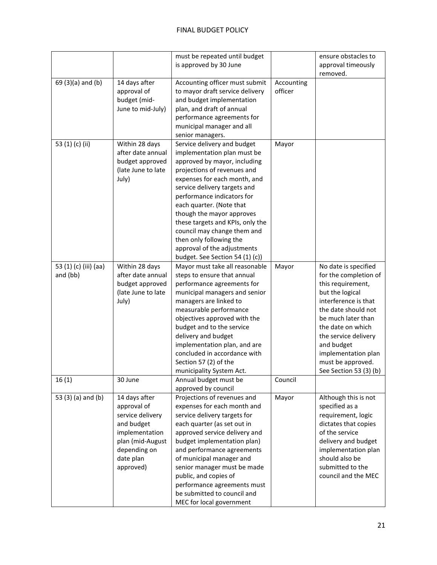|                                   |                                                                                                                                                | must be repeated until budget<br>is approved by 30 June                                                                                                                                                                                                                                                                                                                                                                                          |                       | ensure obstacles to<br>approval timeously<br>removed.                                                                                                                                                                                                                                       |
|-----------------------------------|------------------------------------------------------------------------------------------------------------------------------------------------|--------------------------------------------------------------------------------------------------------------------------------------------------------------------------------------------------------------------------------------------------------------------------------------------------------------------------------------------------------------------------------------------------------------------------------------------------|-----------------------|---------------------------------------------------------------------------------------------------------------------------------------------------------------------------------------------------------------------------------------------------------------------------------------------|
| 69 (3)(a) and (b)                 | 14 days after<br>approval of<br>budget (mid-<br>June to mid-July)                                                                              | Accounting officer must submit<br>to mayor draft service delivery<br>and budget implementation<br>plan, and draft of annual<br>performance agreements for<br>municipal manager and all<br>senior managers.                                                                                                                                                                                                                                       | Accounting<br>officer |                                                                                                                                                                                                                                                                                             |
| 53 (1) (c) (ii)                   | Within 28 days<br>after date annual<br>budget approved<br>(late June to late<br>July)                                                          | Service delivery and budget<br>implementation plan must be<br>approved by mayor, including<br>projections of revenues and<br>expenses for each month, and<br>service delivery targets and<br>performance indicators for<br>each quarter. (Note that<br>though the mayor approves<br>these targets and KPIs, only the<br>council may change them and<br>then only following the<br>approval of the adjustments<br>budget. See Section 54 (1) (c)) | Mayor                 |                                                                                                                                                                                                                                                                                             |
| 53 (1) (c) (iii) (aa)<br>and (bb) | Within 28 days<br>after date annual<br>budget approved<br>(late June to late<br>July)                                                          | Mayor must take all reasonable<br>steps to ensure that annual<br>performance agreements for<br>municipal managers and senior<br>managers are linked to<br>measurable performance<br>objectives approved with the<br>budget and to the service<br>delivery and budget<br>implementation plan, and are<br>concluded in accordance with<br>Section 57 (2) of the<br>municipality System Act.                                                        | Mayor                 | No date is specified<br>for the completion of<br>this requirement,<br>but the logical<br>interference is that<br>the date should not<br>be much later than<br>the date on which<br>the service delivery<br>and budget<br>implementation plan<br>must be approved.<br>See Section 53 (3) (b) |
| 16(1)                             | 30 June                                                                                                                                        | Annual budget must be<br>approved by council                                                                                                                                                                                                                                                                                                                                                                                                     | Council               |                                                                                                                                                                                                                                                                                             |
| 53 (3) (a) and (b)                | 14 days after<br>approval of<br>service delivery<br>and budget<br>implementation<br>plan (mid-August<br>depending on<br>date plan<br>approved) | Projections of revenues and<br>expenses for each month and<br>service delivery targets for<br>each quarter (as set out in<br>approved service delivery and<br>budget implementation plan)<br>and performance agreements<br>of municipal manager and<br>senior manager must be made<br>public, and copies of<br>performance agreements must<br>be submitted to council and<br>MEC for local government                                            | Mayor                 | Although this is not<br>specified as a<br>requirement, logic<br>dictates that copies<br>of the service<br>delivery and budget<br>implementation plan<br>should also be<br>submitted to the<br>council and the MEC                                                                           |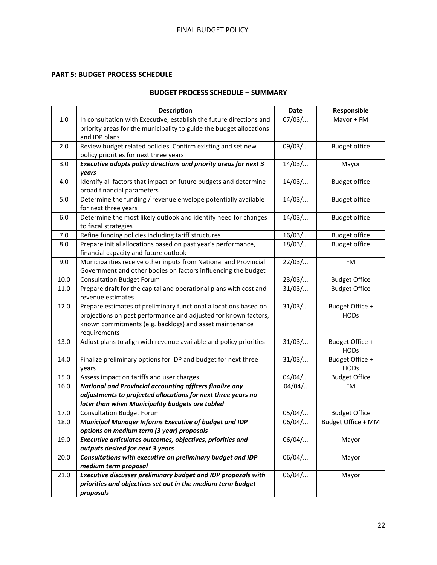# **PART 5: BUDGET PROCESS SCHEDULE**

# **BUDGET PROCESS SCHEDULE – SUMMARY**

|      | <b>Description</b>                                                  | <b>Date</b> | Responsible          |
|------|---------------------------------------------------------------------|-------------|----------------------|
| 1.0  | In consultation with Executive, establish the future directions and | 07/03/      | Mayor + FM           |
|      | priority areas for the municipality to guide the budget allocations |             |                      |
|      | and IDP plans                                                       |             |                      |
| 2.0  | Review budget related policies. Confirm existing and set new        | 09/03/      | <b>Budget office</b> |
|      | policy priorities for next three years                              |             |                      |
| 3.0  | Executive adopts policy directions and priority areas for next 3    | 14/03/      | Mayor                |
|      | years                                                               |             |                      |
| 4.0  | Identify all factors that impact on future budgets and determine    | 14/03/      | <b>Budget office</b> |
|      | broad financial parameters                                          |             |                      |
| 5.0  | Determine the funding / revenue envelope potentially available      | 14/03/      | <b>Budget office</b> |
|      | for next three years                                                |             |                      |
| 6.0  | Determine the most likely outlook and identify need for changes     | 14/03/      | <b>Budget office</b> |
|      | to fiscal strategies                                                |             |                      |
| 7.0  | Refine funding policies including tariff structures                 | 16/03/      | <b>Budget office</b> |
| 8.0  | Prepare initial allocations based on past year's performance,       | 18/03/      | <b>Budget office</b> |
|      | financial capacity and future outlook                               |             |                      |
| 9.0  | Municipalities receive other inputs from National and Provincial    | 22/03/      | FM                   |
|      | Government and other bodies on factors influencing the budget       |             |                      |
| 10.0 | <b>Consultation Budget Forum</b>                                    | 23/03/      | <b>Budget Office</b> |
| 11.0 | Prepare draft for the capital and operational plans with cost and   | 31/03/      | <b>Budget Office</b> |
|      | revenue estimates                                                   |             |                      |
| 12.0 | Prepare estimates of preliminary functional allocations based on    | 31/03/      | Budget Office +      |
|      | projections on past performance and adjusted for known factors,     |             | <b>HODs</b>          |
|      | known commitments (e.g. backlogs) and asset maintenance             |             |                      |
|      | requirements                                                        |             |                      |
| 13.0 | Adjust plans to align with revenue available and policy priorities  | 31/03/      | Budget Office +      |
|      |                                                                     |             | <b>HODs</b>          |
| 14.0 | Finalize preliminary options for IDP and budget for next three      | 31/03/      | Budget Office +      |
|      | years                                                               |             | <b>HODs</b>          |
| 15.0 | Assess impact on tariffs and user charges                           | 04/04/      | <b>Budget Office</b> |
| 16.0 | <b>National and Provincial accounting officers finalize any</b>     | $04/04/$    | FM                   |
|      | adjustments to projected allocations for next three years no        |             |                      |
|      | later than when Municipality budgets are tabled                     |             |                      |
| 17.0 | <b>Consultation Budget Forum</b>                                    | 05/04/      | <b>Budget Office</b> |
| 18.0 | <b>Municipal Manager Informs Executive of budget and IDP</b>        | 06/04/      | Budget Office + MM   |
|      | options on medium term (3 year) proposals                           |             |                      |
| 19.0 | Executive articulates outcomes, objectives, priorities and          | 06/04/      | Mayor                |
|      | outputs desired for next 3 years                                    |             |                      |
| 20.0 | Consultations with executive on preliminary budget and IDP          | 06/04/      | Mayor                |
|      | medium term proposal                                                |             |                      |
| 21.0 | Executive discusses preliminary budget and IDP proposals with       | 06/04/      | Mayor                |
|      | priorities and objectives set out in the medium term budget         |             |                      |
|      | proposals                                                           |             |                      |